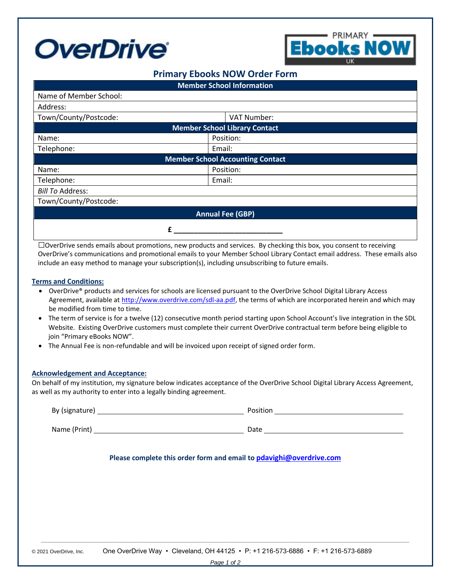



# **Primary Ebooks NOW Order Form**

| <b>Member School Information</b>        |             |  |
|-----------------------------------------|-------------|--|
| Name of Member School:                  |             |  |
| Address:                                |             |  |
| Town/County/Postcode:                   | VAT Number: |  |
| <b>Member School Library Contact</b>    |             |  |
| Name:                                   | Position:   |  |
| Telephone:                              | Email:      |  |
| <b>Member School Accounting Contact</b> |             |  |
| Name:                                   | Position:   |  |
| Telephone:                              | Email:      |  |
| <b>Bill To Address:</b>                 |             |  |
| Town/County/Postcode:                   |             |  |
| <b>Annual Fee (GBP)</b>                 |             |  |
|                                         |             |  |

□OverDrive sends emails about promotions, new products and services. By checking this box, you consent to receiving OverDrive's communications and promotional emails to your Member School Library Contact email address. These emails also include an easy method to manage your subscription(s), including unsubscribing to future emails.

### **Terms and Conditions:**

- OverDrive® products and services for schools are licensed pursuant to the OverDrive School Digital Library Access Agreement, available at [http://www.overdrive.com/sdl-aa.pdf,](http://www.overdrive.com/sdl-aa.pdf) the terms of which are incorporated herein and which may be modified from time to time.
- The term of service is for a twelve (12) consecutive month period starting upon School Account's live integration in the SDL Website. Existing OverDrive customers must complete their current OverDrive contractual term before being eligible to join "Primary eBooks NOW".
- The Annual Fee is non-refundable and will be invoiced upon receipt of signed order form.

#### **Acknowledgement and Acceptance:**

On behalf of my institution, my signature below indicates acceptance of the OverDrive School Digital Library Access Agreement, as well as my authority to enter into a legally binding agreement.

| By (signature) | Position |
|----------------|----------|
| Name (Print)   | Date     |
|                |          |

## **Please complete this order form and email to [pdavighi@overdrive.com](mailto:pdavighi@overdrive.com)**

\_\_\_\_\_\_\_\_\_\_\_\_\_\_\_\_\_\_\_\_\_\_\_\_\_\_\_\_\_\_\_\_\_\_\_\_\_\_\_\_\_\_\_\_\_\_\_\_\_\_\_\_\_\_\_\_\_\_\_\_\_\_\_\_\_\_\_\_\_\_\_\_\_\_\_\_\_\_\_\_\_\_\_\_\_\_\_\_\_\_\_\_\_\_\_\_\_\_\_\_